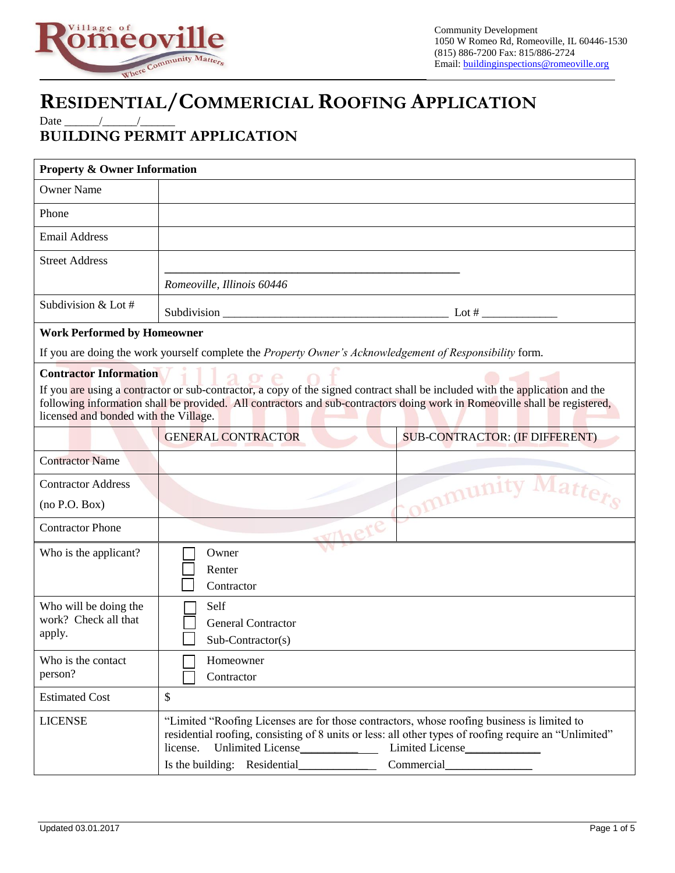

## **RESIDENTIAL/COMMERICIAL ROOFING APPLICATION**

Date \_\_\_\_\_\_/\_\_\_\_\_\_/\_\_\_\_\_\_

## **BUILDING PERMIT APPLICATION**

| <b>Property &amp; Owner Information</b>                                                                                                                                                                                                                                                              |                                                                                                                                                                                                                 |                                       |  |
|------------------------------------------------------------------------------------------------------------------------------------------------------------------------------------------------------------------------------------------------------------------------------------------------------|-----------------------------------------------------------------------------------------------------------------------------------------------------------------------------------------------------------------|---------------------------------------|--|
| <b>Owner Name</b>                                                                                                                                                                                                                                                                                    |                                                                                                                                                                                                                 |                                       |  |
| Phone                                                                                                                                                                                                                                                                                                |                                                                                                                                                                                                                 |                                       |  |
| <b>Email Address</b>                                                                                                                                                                                                                                                                                 |                                                                                                                                                                                                                 |                                       |  |
| <b>Street Address</b>                                                                                                                                                                                                                                                                                |                                                                                                                                                                                                                 |                                       |  |
|                                                                                                                                                                                                                                                                                                      | Romeoville, Illinois 60446                                                                                                                                                                                      |                                       |  |
| Subdivision & Lot #                                                                                                                                                                                                                                                                                  |                                                                                                                                                                                                                 |                                       |  |
| <b>Work Performed by Homeowner</b>                                                                                                                                                                                                                                                                   |                                                                                                                                                                                                                 |                                       |  |
| If you are doing the work yourself complete the Property Owner's Acknowledgement of Responsibility form.                                                                                                                                                                                             |                                                                                                                                                                                                                 |                                       |  |
| <b>Contractor Information</b>                                                                                                                                                                                                                                                                        |                                                                                                                                                                                                                 |                                       |  |
| If you are using a contractor or sub-contractor, a copy of the signed contract shall be included with the application and the<br>following information shall be provided. All contractors and sub-contractors doing work in Romeoville shall be registered,<br>licensed and bonded with the Village. |                                                                                                                                                                                                                 |                                       |  |
|                                                                                                                                                                                                                                                                                                      | <b>GENERAL CONTRACTOR</b>                                                                                                                                                                                       | <b>SUB-CONTRACTOR: (IF DIFFERENT)</b> |  |
| <b>Contractor Name</b>                                                                                                                                                                                                                                                                               |                                                                                                                                                                                                                 |                                       |  |
| <b>Contractor Address</b>                                                                                                                                                                                                                                                                            |                                                                                                                                                                                                                 |                                       |  |
| (no P.O. Box)                                                                                                                                                                                                                                                                                        |                                                                                                                                                                                                                 | Community Matters                     |  |
| <b>Contractor Phone</b>                                                                                                                                                                                                                                                                              | Where                                                                                                                                                                                                           |                                       |  |
| Who is the applicant?                                                                                                                                                                                                                                                                                | Owner<br>Renter<br>Contractor                                                                                                                                                                                   |                                       |  |
| Who will be doing the<br>work? Check all that<br>apply.                                                                                                                                                                                                                                              | Self<br><b>General Contractor</b><br>Sub-Contractor(s)                                                                                                                                                          |                                       |  |
| Who is the contact<br>person?                                                                                                                                                                                                                                                                        | Homeowner<br>Contractor                                                                                                                                                                                         |                                       |  |
| <b>Estimated Cost</b>                                                                                                                                                                                                                                                                                | \$                                                                                                                                                                                                              |                                       |  |
| <b>LICENSE</b>                                                                                                                                                                                                                                                                                       | "Limited "Roofing Licenses are for those contractors, whose roofing business is limited to<br>residential roofing, consisting of 8 units or less: all other types of roofing require an "Unlimited"<br>license. |                                       |  |
|                                                                                                                                                                                                                                                                                                      | Is the building: Residential                                                                                                                                                                                    | Commercial                            |  |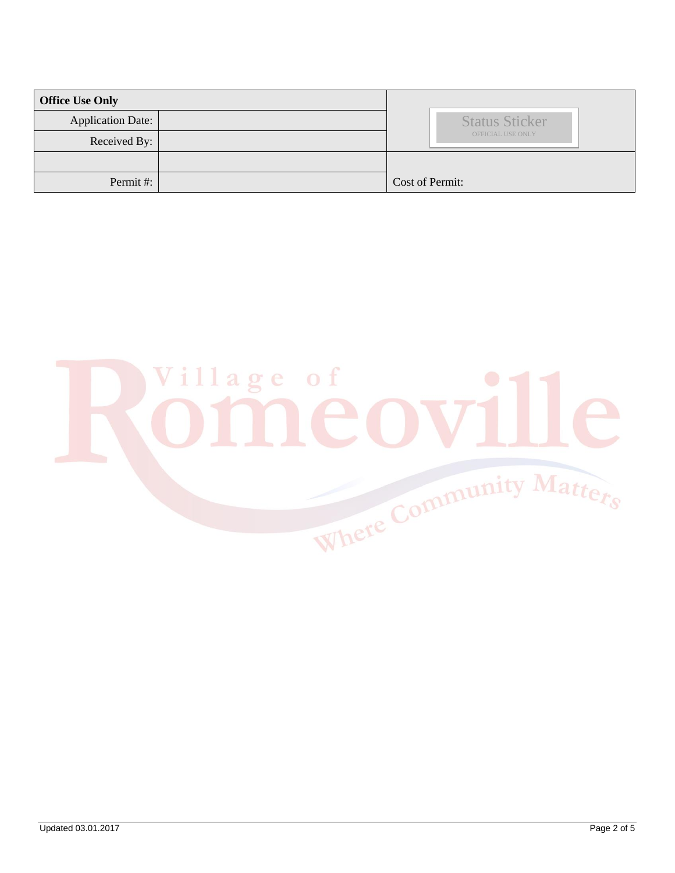| <b>Office Use Only</b> |                       |
|------------------------|-----------------------|
| Application Date:      | <b>Status Sticker</b> |
| Received By:           | OFFICIAL USE ONLY     |
|                        |                       |
| Permit#:               | Cost of Permit:       |

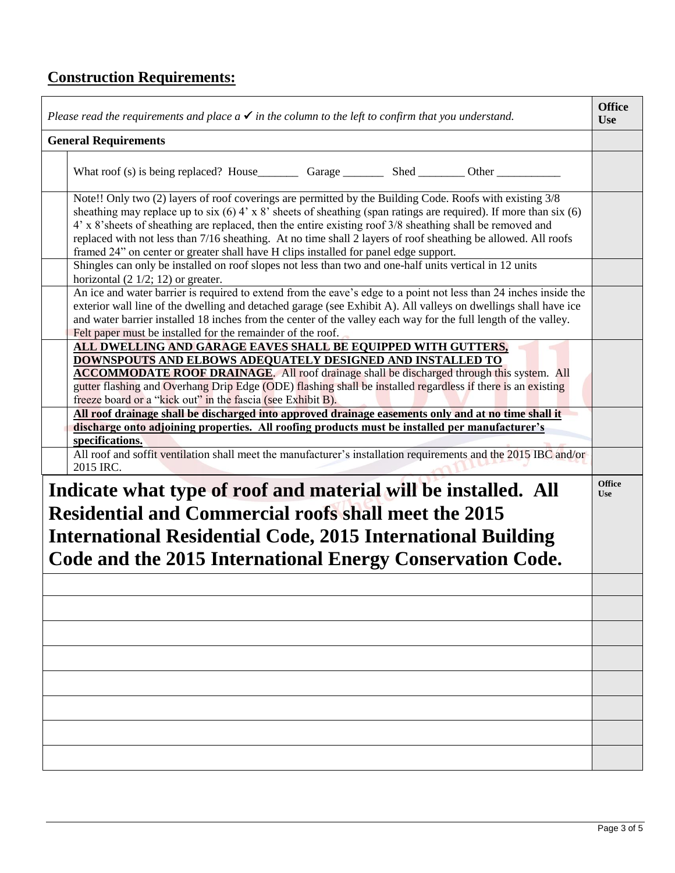## **Construction Requirements:**

| Please read the requirements and place $a \checkmark$ in the column to the left to confirm that you understand.                                                                                                                                                                                                                                                                                                                                                                                                                                          | <b>Office</b><br><b>Use</b> |  |
|----------------------------------------------------------------------------------------------------------------------------------------------------------------------------------------------------------------------------------------------------------------------------------------------------------------------------------------------------------------------------------------------------------------------------------------------------------------------------------------------------------------------------------------------------------|-----------------------------|--|
| <b>General Requirements</b>                                                                                                                                                                                                                                                                                                                                                                                                                                                                                                                              |                             |  |
|                                                                                                                                                                                                                                                                                                                                                                                                                                                                                                                                                          |                             |  |
| Note!! Only two (2) layers of roof coverings are permitted by the Building Code. Roofs with existing 3/8<br>sheathing may replace up to six $(6)$ 4' x 8' sheets of sheathing (span ratings are required). If more than six $(6)$<br>4' x 8' sheets of sheathing are replaced, then the entire existing roof 3/8 sheathing shall be removed and<br>replaced with not less than 7/16 sheathing. At no time shall 2 layers of roof sheathing be allowed. All roofs<br>framed 24" on center or greater shall have H clips installed for panel edge support. |                             |  |
| Shingles can only be installed on roof slopes not less than two and one-half units vertical in 12 units<br>horizontal $(2 \frac{1}{2}; 12)$ or greater.                                                                                                                                                                                                                                                                                                                                                                                                  |                             |  |
| An ice and water barrier is required to extend from the eave's edge to a point not less than 24 inches inside the<br>exterior wall line of the dwelling and detached garage (see Exhibit A). All valleys on dwellings shall have ice<br>and water barrier installed 18 inches from the center of the valley each way for the full length of the valley.<br>Felt paper must be installed for the remainder of the roof.                                                                                                                                   |                             |  |
| ALL DWELLING AND GARAGE EAVES SHALL BE EQUIPPED WITH GUTTERS,<br><b>DOWNSPOUTS AND ELBOWS ADEQUATELY DESIGNED AND INSTALLED TO</b><br><b>ACCOMMODATE ROOF DRAINAGE.</b> All roof drainage shall be discharged through this system. All<br>gutter flashing and Overhang Drip Edge (ODE) flashing shall be installed regardless if there is an existing<br>freeze board or a "kick out" in the fascia (see Exhibit B).                                                                                                                                     |                             |  |
| All roof drainage shall be discharged into approved drainage easements only and at no time shall it<br>discharge onto adjoining properties. All roofing products must be installed per manufacturer's                                                                                                                                                                                                                                                                                                                                                    |                             |  |
| specifications.                                                                                                                                                                                                                                                                                                                                                                                                                                                                                                                                          |                             |  |
| All roof and soffit ventilation shall meet the manufacturer's installation requirements and the 2015 IBC and/or<br>2015 IRC.                                                                                                                                                                                                                                                                                                                                                                                                                             |                             |  |
| Indicate what type of roof and material will be installed. All<br><b>Residential and Commercial roofs shall meet the 2015</b><br>International Residential Code, 2015 International Building<br>Code and the 2015 International Energy Conservation Code.                                                                                                                                                                                                                                                                                                |                             |  |
|                                                                                                                                                                                                                                                                                                                                                                                                                                                                                                                                                          |                             |  |
|                                                                                                                                                                                                                                                                                                                                                                                                                                                                                                                                                          |                             |  |
|                                                                                                                                                                                                                                                                                                                                                                                                                                                                                                                                                          |                             |  |
|                                                                                                                                                                                                                                                                                                                                                                                                                                                                                                                                                          |                             |  |
|                                                                                                                                                                                                                                                                                                                                                                                                                                                                                                                                                          |                             |  |
|                                                                                                                                                                                                                                                                                                                                                                                                                                                                                                                                                          |                             |  |
|                                                                                                                                                                                                                                                                                                                                                                                                                                                                                                                                                          |                             |  |
|                                                                                                                                                                                                                                                                                                                                                                                                                                                                                                                                                          |                             |  |
|                                                                                                                                                                                                                                                                                                                                                                                                                                                                                                                                                          |                             |  |
|                                                                                                                                                                                                                                                                                                                                                                                                                                                                                                                                                          |                             |  |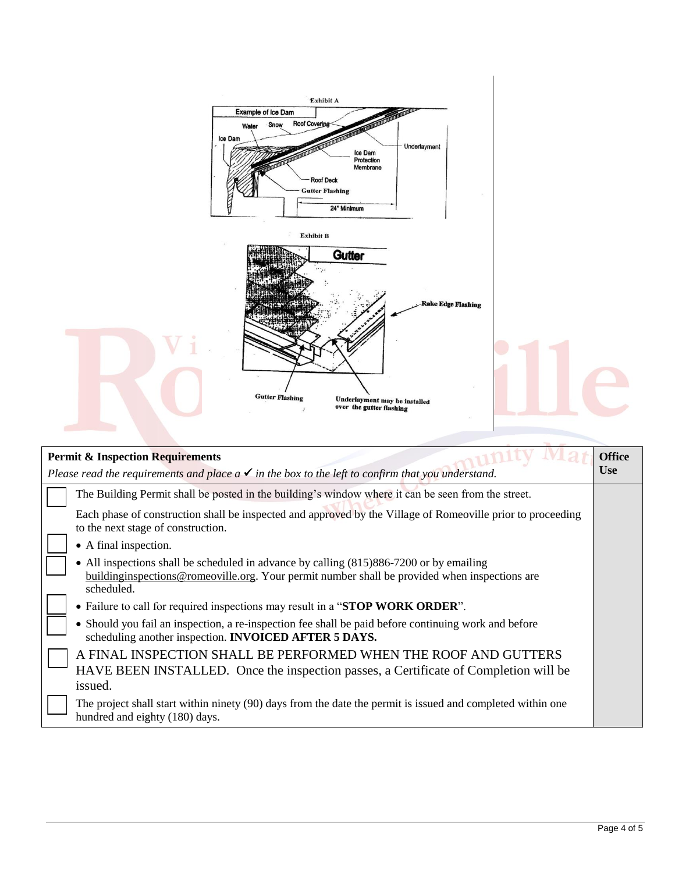| <b>Exhibit B</b><br><b>Gutter</b><br><b>Rake Edge Flashing</b><br><b>Gutter Flashing</b><br>Underlayment may be installed<br>over the gutter flashing                                                   |
|---------------------------------------------------------------------------------------------------------------------------------------------------------------------------------------------------------|
| <b>Office</b><br><b>Permit &amp; Inspection Requirements</b><br><b>Use</b><br>Please read the requirements and place $a \checkmark$ in the box to the left to confirm that you understand.              |
| The Building Permit shall be posted in the building's window where it can be seen from the street.                                                                                                      |
| Each phase of construction shall be inspected and approved by the Village of Romeoville prior to proceeding<br>to the next stage of construction.                                                       |
| • A final inspection.                                                                                                                                                                                   |
| All inspections shall be scheduled in advance by calling (815)886-7200 or by emailing<br>building inspections @ romeoville.org. Your permit number shall be provided when inspections are<br>scheduled. |
| • Failure to call for required inspections may result in a "STOP WORK ORDER".                                                                                                                           |
| • Should you fail an inspection, a re-inspection fee shall be paid before continuing work and before<br>scheduling another inspection. <b>INVOICED AFTER 5 DAYS.</b>                                    |
| A FINAL INSPECTION SHALL BE PERFORMED WHEN THE ROOF AND GUTTERS<br>HAVE BEEN INSTALLED. Once the inspection passes, a Certificate of Completion will be<br>issued.                                      |
| The project shall start within ninety (90) days from the date the permit is issued and completed within one<br>hundred and eighty (180) days.                                                           |